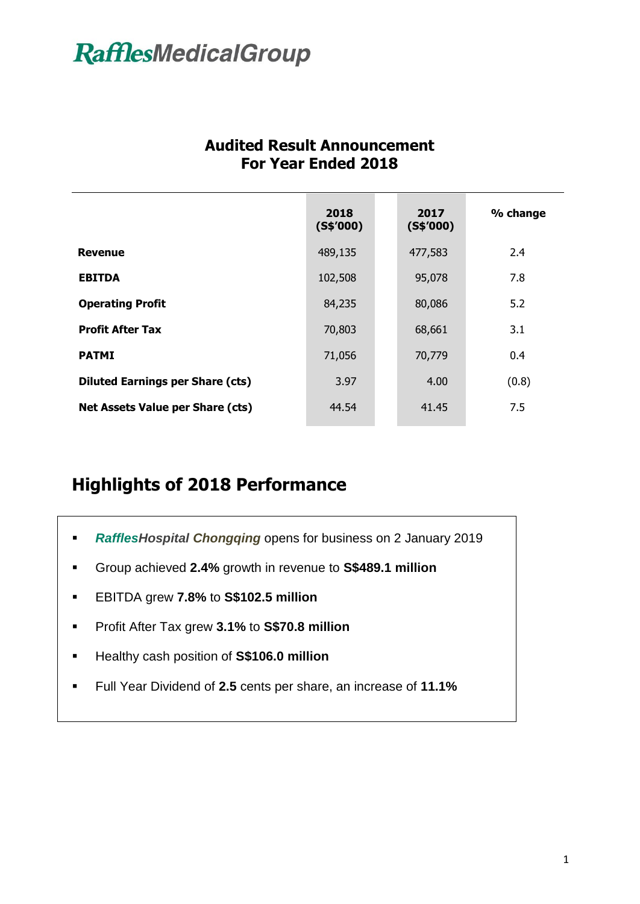|                                         | 2018<br>(S\$′000) | 2017<br>(S\$′000) | % change |
|-----------------------------------------|-------------------|-------------------|----------|
| <b>Revenue</b>                          | 489,135           | 477,583           | 2.4      |
| <b>EBITDA</b>                           | 102,508           | 95,078            | 7.8      |
| <b>Operating Profit</b>                 | 84,235            | 80,086            | 5.2      |
| <b>Profit After Tax</b>                 | 70,803            | 68,661            | 3.1      |
| <b>PATMI</b>                            | 71,056            | 70,779            | 0.4      |
| <b>Diluted Earnings per Share (cts)</b> | 3.97              | 4.00              | (0.8)    |
| <b>Net Assets Value per Share (cts)</b> | 44.54             | 41.45             | 7.5      |

#### **Audited Result Announcement For Year Ended 2018**

### **Highlights of 2018 Performance**

- *RafflesHospital Chongqing* opens for business on 2 January 2019
- Group achieved **2.4%** growth in revenue to **S\$489.1 million**
- EBITDA grew **7.8%** to **S\$102.5 million**
- Profit After Tax grew **3.1%** to **S\$70.8 million**
- Healthy cash position of **S\$106.0 million**
- Full Year Dividend of **2.5** cents per share, an increase of **11.1%**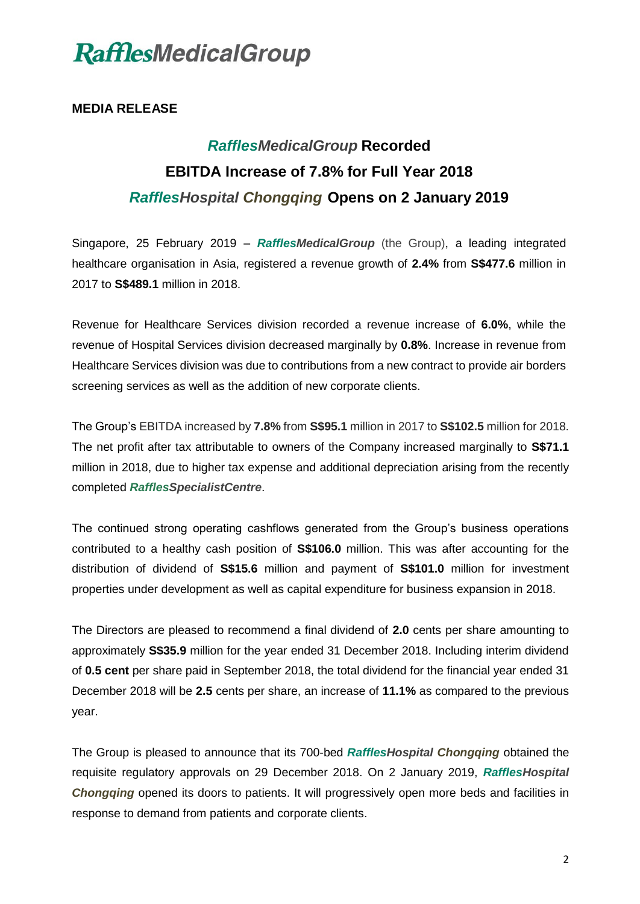#### **MEDIA RELEASE**

### *RafflesMedicalGroup* **Recorded EBITDA Increase of 7.8% for Full Year 2018** *RafflesHospital Chongqing* **Opens on 2 January 2019**

Singapore, 25 February 2019 – *RafflesMedicalGroup* (the Group), a leading integrated healthcare organisation in Asia, registered a revenue growth of **2.4%** from **S\$477.6** million in 2017 to **S\$489.1** million in 2018.

Revenue for Healthcare Services division recorded a revenue increase of **6.0%**, while the revenue of Hospital Services division decreased marginally by **0.8%**. Increase in revenue from Healthcare Services division was due to contributions from a new contract to provide air borders screening services as well as the addition of new corporate clients.

The Group's EBITDA increased by **7.8%** from **S\$95.1** million in 2017 to **S\$102.5** million for 2018. The net profit after tax attributable to owners of the Company increased marginally to **S\$71.1** million in 2018, due to higher tax expense and additional depreciation arising from the recently completed *RafflesSpecialistCentre*.

The continued strong operating cashflows generated from the Group's business operations contributed to a healthy cash position of **S\$106.0** million. This was after accounting for the distribution of dividend of **S\$15.6** million and payment of **S\$101.0** million for investment properties under development as well as capital expenditure for business expansion in 2018.

The Directors are pleased to recommend a final dividend of **2.0** cents per share amounting to approximately **S\$35.9** million for the year ended 31 December 2018. Including interim dividend of **0.5 cent** per share paid in September 2018, the total dividend for the financial year ended 31 December 2018 will be **2.5** cents per share, an increase of **11.1%** as compared to the previous year.

The Group is pleased to announce that its 700-bed *RafflesHospital Chongqing* obtained the requisite regulatory approvals on 29 December 2018. On 2 January 2019, *RafflesHospital Chongqing* opened its doors to patients. It will progressively open more beds and facilities in response to demand from patients and corporate clients.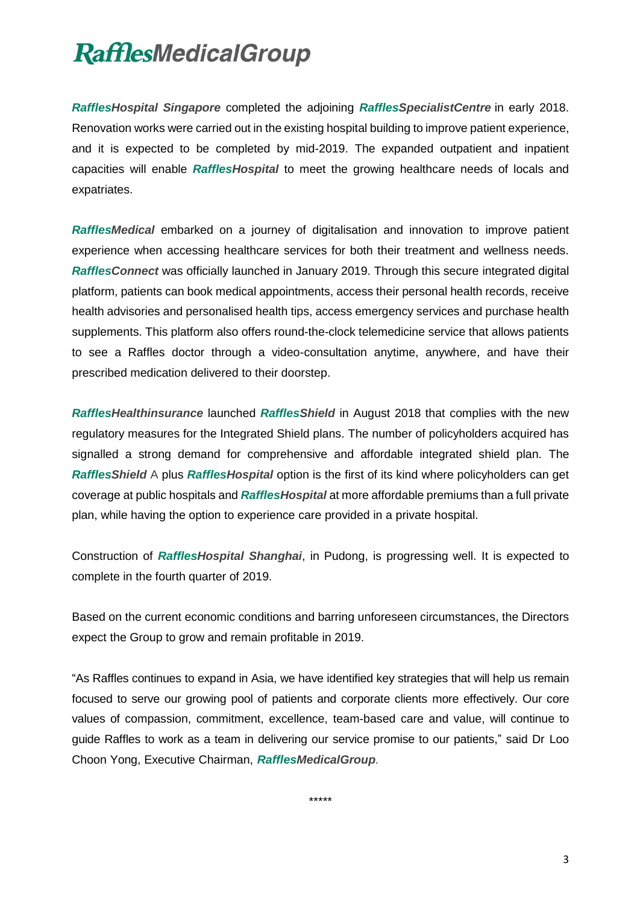*RafflesHospital Singapore* completed the adjoining *RafflesSpecialistCentre* in early 2018. Renovation works were carried out in the existing hospital building to improve patient experience, and it is expected to be completed by mid-2019. The expanded outpatient and inpatient capacities will enable *RafflesHospital* to meet the growing healthcare needs of locals and expatriates.

*RafflesMedical* embarked on a journey of digitalisation and innovation to improve patient experience when accessing healthcare services for both their treatment and wellness needs. *RafflesConnect* was officially launched in January 2019. Through this secure integrated digital platform, patients can book medical appointments, access their personal health records, receive health advisories and personalised health tips, access emergency services and purchase health supplements. This platform also offers round-the-clock telemedicine service that allows patients to see a Raffles doctor through a video-consultation anytime, anywhere, and have their prescribed medication delivered to their doorstep.

*RafflesHealthinsurance* launched *RafflesShield* in August 2018 that complies with the new regulatory measures for the Integrated Shield plans. The number of policyholders acquired has signalled a strong demand for comprehensive and affordable integrated shield plan. The *RafflesShield* A plus *RafflesHospital* option is the first of its kind where policyholders can get coverage at public hospitals and *RafflesHospital* at more affordable premiums than a full private plan, while having the option to experience care provided in a private hospital.

Construction of *RafflesHospital Shanghai*, in Pudong, is progressing well. It is expected to complete in the fourth quarter of 2019.

Based on the current economic conditions and barring unforeseen circumstances, the Directors expect the Group to grow and remain profitable in 2019.

"As Raffles continues to expand in Asia, we have identified key strategies that will help us remain focused to serve our growing pool of patients and corporate clients more effectively. Our core values of compassion, commitment, excellence, team-based care and value, will continue to guide Raffles to work as a team in delivering our service promise to our patients," said Dr Loo Choon Yong, Executive Chairman, *RafflesMedicalGroup.*

\*\*\*\*\*